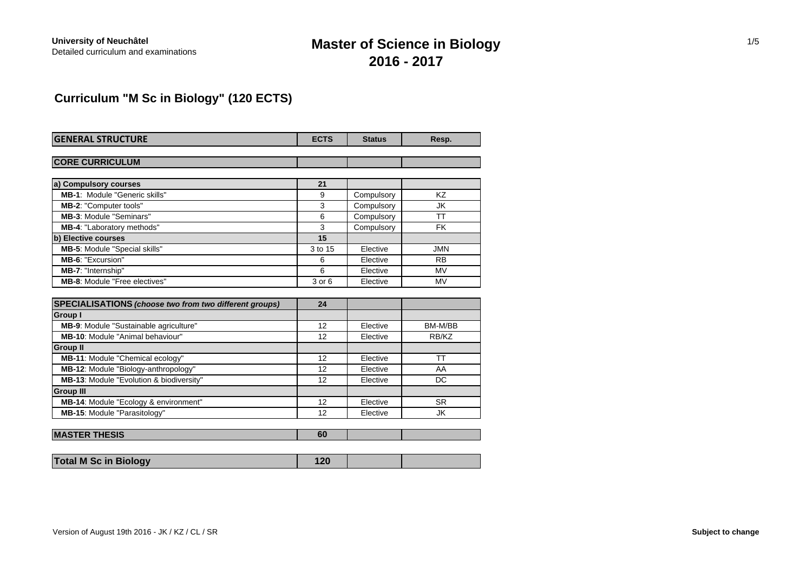# **Master of Science in Biology 2016 - 2017**

# **Curriculum "M Sc in Biology" (120 ECTS)**

| <b>GENERAL STRUCTURE</b>                                      | <b>ECTS</b> | <b>Status</b> | Resp.      |
|---------------------------------------------------------------|-------------|---------------|------------|
|                                                               |             |               |            |
| <b>CORE CURRICULUM</b>                                        |             |               |            |
|                                                               |             |               |            |
| a) Compulsory courses                                         | 21          |               |            |
| <b>MB-1: Module "Generic skills"</b>                          | 9           | Compulsory    | KZ         |
| MB-2: "Computer tools"                                        | 3           | Compulsory    | JK         |
| <b>MB-3: Module "Seminars"</b>                                | 6           | Compulsory    | <b>TT</b>  |
| <b>MB-4: "Laboratory methods"</b>                             | 3           | Compulsory    | <b>FK</b>  |
| b) Elective courses                                           | 15          |               |            |
| MB-5: Module "Special skills"                                 | 3 to 15     | Elective      | <b>JMN</b> |
| MB-6: "Excursion"                                             | 6           | Elective      | <b>RB</b>  |
| MB-7: "Internship"                                            | 6           | Elective      | <b>MV</b>  |
| <b>MB-8: Module "Free electives"</b>                          | 3 or 6      | Elective      | <b>MV</b>  |
|                                                               |             |               |            |
| <b>SPECIALISATIONS</b> (choose two from two different groups) | 24          |               |            |
| Group I                                                       |             |               |            |
| MB-9: Module "Sustainable agriculture"                        | 12          | Elective      | BM-M/BB    |
| <b>MB-10: Module "Animal behaviour"</b>                       | 12          | Elective      | RB/KZ      |
| <b>Group II</b>                                               |             |               |            |
| MB-11: Module "Chemical ecology"                              | 12          | Elective      | TT         |
| MB-12: Module "Biology-anthropology"                          | 12          | Elective      | AA         |
| MB-13: Module "Evolution & biodiversity"                      | 12          | Elective      | <b>DC</b>  |
| <b>Group III</b>                                              |             |               |            |
| MB-14: Module "Ecology & environment"                         | 12          | Elective      | <b>SR</b>  |
| MB-15: Module "Parasitology"                                  | 12          | Elective      | JK         |
|                                                               |             |               |            |
| <b>MASTER THESIS</b>                                          | 60          |               |            |

| <b>Total M Sc in Biology</b> |  |  |
|------------------------------|--|--|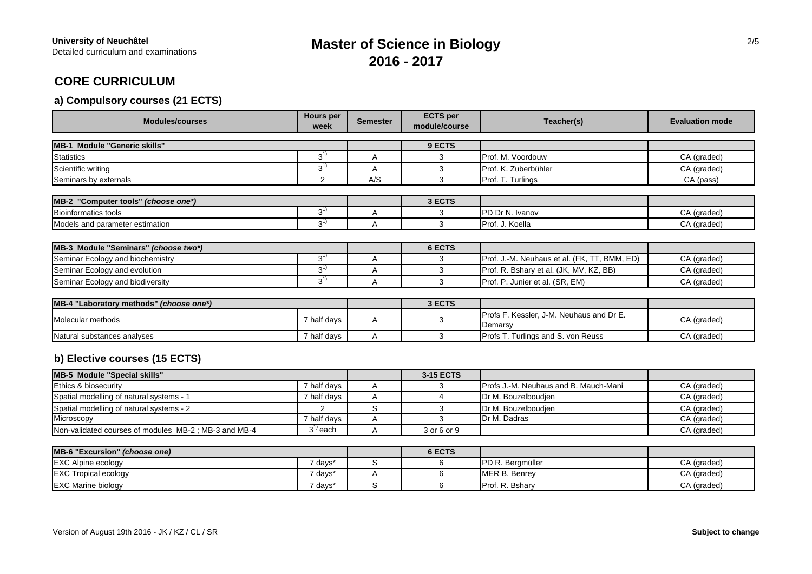# **Master of Science in Biology 2016 - 2017**

# **CORE CURRICULUM**

## **a) Compulsory courses (21 ECTS)**

| <b>Modules/courses</b>                  | <b>Hours per</b><br>week | <b>Semester</b> | <b>ECTS</b> per<br>module/course | Teacher(s)                                          | <b>Evaluation mode</b> |
|-----------------------------------------|--------------------------|-----------------|----------------------------------|-----------------------------------------------------|------------------------|
| MB-1 Module "Generic skills"            |                          |                 | 9 ECTS                           |                                                     |                        |
| <b>Statistics</b>                       | $3^{1}$                  | A               | 3                                | Prof. M. Voordouw                                   | CA (graded)            |
| Scientific writing                      | $3^{1}$                  | Α               | 3                                | Prof. K. Zuberbühler                                | CA (graded)            |
| Seminars by externals                   | 2                        | A/S             | 3                                | Prof. T. Turlings                                   | CA (pass)              |
|                                         |                          |                 |                                  |                                                     |                        |
| MB-2 "Computer tools" (choose one*)     |                          |                 | 3 ECTS                           |                                                     |                        |
| <b>Bioinformatics tools</b>             | $3^{1}$                  | A               | 3                                | PD Dr N. Ivanov                                     | CA (graded)            |
| Models and parameter estimation         | $3^{1}$                  | A               | 3                                | Prof. J. Koella                                     | CA (graded)            |
|                                         |                          |                 |                                  |                                                     |                        |
| MB-3 Module "Seminars" (choose two*)    |                          |                 | 6 ECTS                           |                                                     |                        |
| Seminar Ecology and biochemistry        | $3^{1}$                  | Α               | 3                                | Prof. J.-M. Neuhaus et al. (FK, TT, BMM, ED)        | CA (graded)            |
| Seminar Ecology and evolution           | $3^{1}$                  | A               | 3                                | Prof. R. Bshary et al. (JK, MV, KZ, BB)             | CA (graded)            |
| Seminar Ecology and biodiversity        | $3^{1}$                  | A               | 3                                | Prof. P. Junier et al. (SR, EM)                     | CA (graded)            |
|                                         |                          |                 |                                  |                                                     |                        |
| MB-4 "Laboratory methods" (choose one*) |                          |                 | 3 ECTS                           |                                                     |                        |
| Molecular methods                       | 7 half days              | Α               | 3                                | Profs F. Kessler, J-M. Neuhaus and Dr E.<br>Demarsy | CA (graded)            |
| Natural substances analyses             | 7 half days              | A               | 3                                | Profs T. Turlings and S. von Reuss                  | CA (graded)            |

## **b) Elective courses (15 ECTS)**

| MB-5 Module "Special skills"                         |                     | 3-15 ECTS   |                                               |             |
|------------------------------------------------------|---------------------|-------------|-----------------------------------------------|-------------|
| Ethics & biosecurity                                 | 7 half days         |             | <b>IProfs J.-M. Neuhaus and B. Mauch-Mani</b> | CA (graded) |
| Spatial modelling of natural systems - 1             | 7 half days         |             | <b>IDr M. Bouzelboudien</b>                   | CA (graded) |
| Spatial modelling of natural systems - 2             |                     |             | <b>IDr M. Bouzelboudien</b>                   | CA (graded) |
| Microscopy                                           | 7 half days         |             | Dr M. Dadras                                  | CA (graded) |
| Non-validated courses of modules MB-2; MB-3 and MB-4 | <sup>2''</sup> each | 3 or 6 or 9 |                                               | CA (graded) |

| MB-6 "Excursion" (choose one) |         | 6 ECTS |                          |             |
|-------------------------------|---------|--------|--------------------------|-------------|
| <b>EXC Alpine ecology</b>     | 7 days* |        | <b>IPD R. Beramüller</b> | CA (graded) |
| <b>EXC Tropical ecology</b>   | " davs* |        | MER B. Benrev            | CA (graded) |
| <b>EXC Marine biology</b>     | 7 days* |        | <b>IProf. R. Bsharv</b>  | CA (graded) |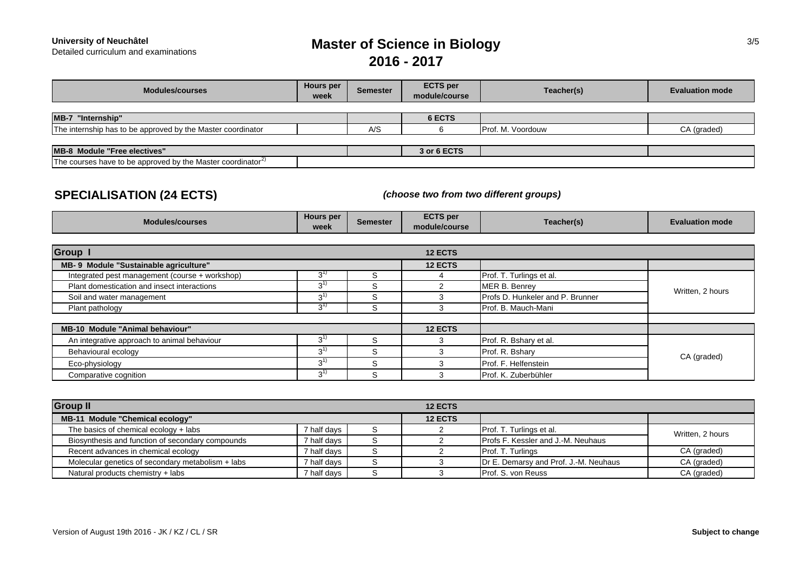**University of Neuchâtel<br>Detailed curriculum and examinations** 

# **Master of Science in Biology 2016 - 2017**

| <b>Modules/courses</b>                                                  | Hours per<br>week | <b>Semester</b> | <b>ECTS</b> per<br>module/course | Teacher(s)        | <b>Evaluation mode</b> |
|-------------------------------------------------------------------------|-------------------|-----------------|----------------------------------|-------------------|------------------------|
|                                                                         |                   |                 |                                  |                   |                        |
| $MB-7$<br>"Internship"                                                  |                   |                 | 6 ECTS                           |                   |                        |
| The internship has to be approved by the Master coordinator             |                   | A/S             |                                  | Prof. M. Voordouw | CA (graded)            |
|                                                                         |                   |                 |                                  |                   |                        |
| MB-8 Module "Free electives"                                            |                   |                 | 3 or 6 ECTS                      |                   |                        |
| The courses have to be approved by the Master coordinator <sup>2)</sup> |                   |                 |                                  |                   |                        |

## **SPECIALISATION (24 ECTS)**

*(choose two from two different groups)*

| <b>Modules/courses</b>                         | Hours per<br>week | <b>Semester</b> | <b>ECTS</b> per<br>module/course | Teacher(s)                       | <b>Evaluation mode</b> |
|------------------------------------------------|-------------------|-----------------|----------------------------------|----------------------------------|------------------------|
| <b>Group I</b>                                 |                   |                 | <b>12 ECTS</b>                   |                                  |                        |
| MB- 9 Module "Sustainable agriculture"         |                   |                 | <b>12 ECTS</b>                   |                                  |                        |
| Integrated pest management (course + workshop) | 3'                | S               |                                  | Prof. T. Turlings et al.         |                        |
| Plant domestication and insect interactions    | $3^{11}$          | S               |                                  | MER B. Benrey                    |                        |
| Soil and water management                      | $3^{1}$           | S               |                                  | Profs D. Hunkeler and P. Brunner | Written, 2 hours       |
| Plant pathology                                | $3^{11}$          | S               |                                  | Prof. B. Mauch-Mani              |                        |
| <b>MB-10 Module "Animal behaviour"</b>         |                   |                 | <b>12 ECTS</b>                   |                                  |                        |
| An integrative approach to animal behaviour    | $3^{1}$           | S               |                                  | Prof. R. Bshary et al.           |                        |
| Behavioural ecology                            | $3^{1}$           | S               |                                  | Prof. R. Bshary                  |                        |
| Eco-physiology                                 | $3^{1}$           | S               |                                  | Prof. F. Helfenstein             | CA (graded)            |
| Comparative cognition                          | $3^{1}$           | S               |                                  | Prof. K. Zuberbühler             |                        |

| <b>Group II</b>                                   |             | <b>12 ECTS</b> |                                           |                  |
|---------------------------------------------------|-------------|----------------|-------------------------------------------|------------------|
| MB-11 Module "Chemical ecology"                   |             | <b>12 ECTS</b> |                                           |                  |
| The basics of chemical ecology $+$ labs           | 7 half davs |                | Prof. T. Turlings et al.                  | Written, 2 hours |
| Biosynthesis and function of secondary compounds  | 7 half days |                | <b>Profs F. Kessler and J.-M. Neuhaus</b> |                  |
| Recent advances in chemical ecology               | 7 half davs |                | Prof. T. Turlings                         | CA (graded)      |
| Molecular genetics of secondary metabolism + labs | 7 half davs |                | Dr E. Demarsy and Prof. J.-M. Neuhaus     | CA (graded)      |
| Natural products chemistry + labs                 | 7 half davs |                | <b>Prof. S. von Reuss</b>                 | CA (graded)      |

3/5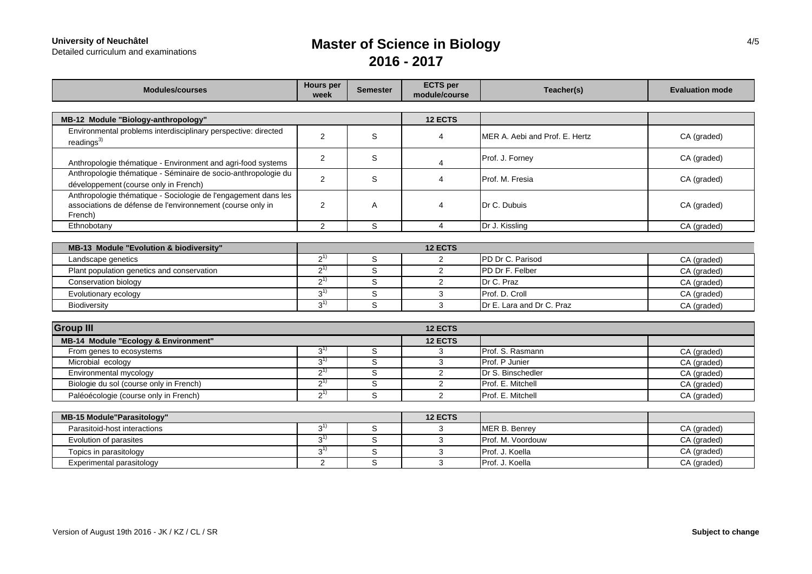**University of Neuchâtel**<br>Detailed curriculum and examinations

# **Master of Science in Biology 2016 - 2017**

| <b>Modules/courses</b>                                                                                                                  | <b>Hours</b> per<br>week | <b>Semester</b> | <b>ECTS</b> per<br>module/course | Teacher(s)                     | <b>Evaluation mode</b> |
|-----------------------------------------------------------------------------------------------------------------------------------------|--------------------------|-----------------|----------------------------------|--------------------------------|------------------------|
|                                                                                                                                         |                          |                 |                                  |                                |                        |
| MB-12 Module "Biology-anthropology"                                                                                                     |                          |                 | <b>12 ECTS</b>                   |                                |                        |
| Environmental problems interdisciplinary perspective: directed<br>readings <sup>3)</sup>                                                | $\overline{2}$           | S               | 4                                | MER A. Aebi and Prof. E. Hertz | CA (graded)            |
| Anthropologie thématique - Environment and agri-food systems                                                                            | 2                        | S               | 4                                | Prof. J. Forney                | CA (graded)            |
| Anthropologie thématique - Séminaire de socio-anthropologie du<br>développement (course only in French)                                 | 2                        | S               | 4                                | Prof. M. Fresia                | CA (graded)            |
| Anthropologie thématique - Sociologie de l'engagement dans les<br>associations de défense de l'environnement (course only in<br>French) | 2                        | A               | 4                                | Dr C. Dubuis                   | CA (graded)            |
| Ethnobotany                                                                                                                             | $\overline{2}$           | $\mathbb S$     | $\overline{4}$                   | Dr J. Kissling                 | CA (graded)            |
|                                                                                                                                         |                          |                 |                                  |                                |                        |
| MB-13 Module "Evolution & biodiversity"                                                                                                 |                          |                 | <b>12 ECTS</b>                   |                                |                        |
| Landscape genetics                                                                                                                      | $2^{1}$                  | $\mathbb S$     | 2                                | PD Dr C. Parisod               | CA (graded)            |
| Plant population genetics and conservation                                                                                              | $2^{1}$                  | S               | $\overline{2}$                   | PD Dr F. Felber                | CA (graded)            |
| Conservation biology                                                                                                                    | $2^{1}$                  | $\mathbb S$     | $\overline{c}$                   | Dr C. Praz                     | CA (graded)            |
| Evolutionary ecology                                                                                                                    | $3^{1}$                  | $\mathbb S$     | 3                                | Prof. D. Croll                 | CA (graded)            |
| Biodiversity                                                                                                                            | $3^{1}$                  | S               | 3                                | Dr E. Lara and Dr C. Praz      | CA (graded)            |
|                                                                                                                                         |                          |                 |                                  |                                |                        |
| <b>Group III</b>                                                                                                                        |                          |                 | 12 ECTS                          |                                |                        |
| MB-14 Module "Ecology & Environment"                                                                                                    |                          |                 | <b>12 ECTS</b>                   |                                |                        |
| From genes to ecosystems                                                                                                                | $3^{1}$                  | S               | 3                                | Prof. S. Rasmann               | CA (graded)            |
| Microbial ecology                                                                                                                       | $3^{1}$                  | $\mathbb S$     | 3                                | Prof. P Junier                 | CA (graded)            |
| Environmental mycology                                                                                                                  | $2^{1}$                  | S               | 2                                | Dr S. Binschedler              | CA (graded)            |
| Biologie du sol (course only in French)                                                                                                 | $2^{1}$                  | $\mathbb S$     | 2                                | Prof. E. Mitchell              | CA (graded)            |
| Paléoécologie (course only in French)                                                                                                   | $2^{1}$                  | S               | 2                                | Prof. E. Mitchell              | CA (graded)            |
|                                                                                                                                         |                          |                 |                                  |                                |                        |
| <b>MB-15 Module "Parasitology"</b>                                                                                                      |                          |                 | <b>12 ECTS</b>                   |                                |                        |
| Parasitoid-host interactions                                                                                                            | $3^{1}$                  | $\mathbb S$     | 3                                | MER B. Benrey                  | CA (graded)            |
| Evolution of parasites                                                                                                                  | $3^{1}$                  | S               | 3                                | Prof. M. Voordouw              | CA (graded)            |
| Topics in parasitology                                                                                                                  | $3^{1}$                  | $\mathbb S$     | 3                                | Prof. J. Koella                | CA (graded)            |
| Experimental parasitology                                                                                                               | $\overline{2}$           | S               | 3                                | Prof. J. Koella                | CA (graded)            |